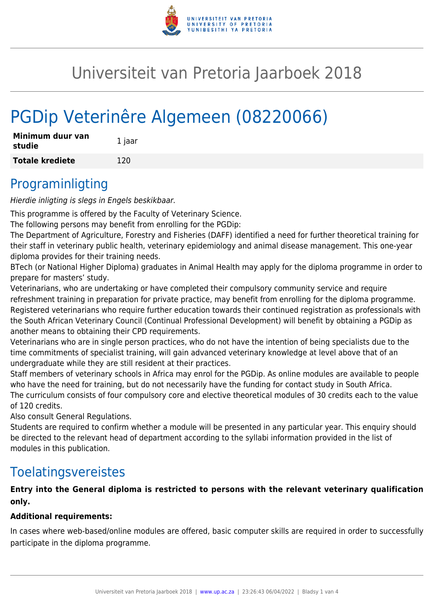

## Universiteit van Pretoria Jaarboek 2018

# PGDip Veterinêre Algemeen (08220066)

| Minimum duur van<br>studie | 1 jaar |
|----------------------------|--------|
| <b>Totale krediete</b>     | 120    |

#### Programinligting

Hierdie inligting is slegs in Engels beskikbaar.

This programme is offered by the Faculty of Veterinary Science.

The following persons may benefit from enrolling for the PGDip:

The Department of Agriculture, Forestry and Fisheries (DAFF) identified a need for further theoretical training for their staff in veterinary public health, veterinary epidemiology and animal disease management. This one-year diploma provides for their training needs.

BTech (or National Higher Diploma) graduates in Animal Health may apply for the diploma programme in order to prepare for masters' study.

Veterinarians, who are undertaking or have completed their compulsory community service and require refreshment training in preparation for private practice, may benefit from enrolling for the diploma programme. Registered veterinarians who require further education towards their continued registration as professionals with the South African Veterinary Council (Continual Professional Development) will benefit by obtaining a PGDip as another means to obtaining their CPD requirements.

Veterinarians who are in single person practices, who do not have the intention of being specialists due to the time commitments of specialist training, will gain advanced veterinary knowledge at level above that of an undergraduate while they are still resident at their practices.

Staff members of veterinary schools in Africa may enrol for the PGDip. As online modules are available to people who have the need for training, but do not necessarily have the funding for contact study in South Africa. The curriculum consists of four compulsory core and elective theoretical modules of 30 credits each to the value of 120 credits.

Also consult General Regulations.

Students are required to confirm whether a module will be presented in any particular year. This enquiry should be directed to the relevant head of department according to the syllabi information provided in the list of modules in this publication.

#### Toelatingsvereistes

#### **Entry into the General diploma is restricted to persons with the relevant veterinary qualification only.**

#### **Additional requirements:**

In cases where web-based/online modules are offered, basic computer skills are required in order to successfully participate in the diploma programme.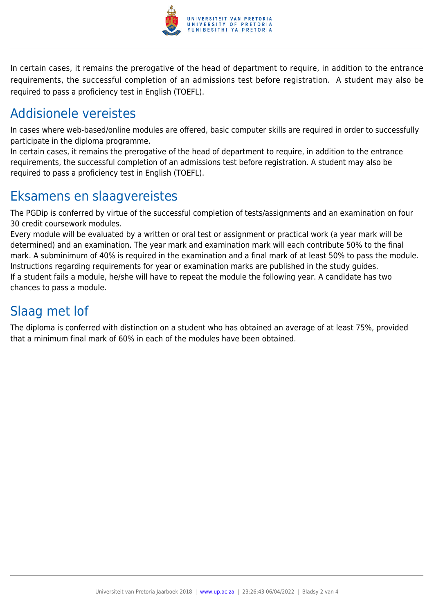

In certain cases, it remains the prerogative of the head of department to require, in addition to the entrance requirements, the successful completion of an admissions test before registration. A student may also be required to pass a proficiency test in English (TOEFL).

### Addisionele vereistes

In cases where web-based/online modules are offered, basic computer skills are required in order to successfully participate in the diploma programme.

In certain cases, it remains the prerogative of the head of department to require, in addition to the entrance requirements, the successful completion of an admissions test before registration. A student may also be required to pass a proficiency test in English (TOEFL).

### Eksamens en slaagvereistes

The PGDip is conferred by virtue of the successful completion of tests/assignments and an examination on four 30 credit coursework modules.

Every module will be evaluated by a written or oral test or assignment or practical work (a year mark will be determined) and an examination. The year mark and examination mark will each contribute 50% to the final mark. A subminimum of 40% is required in the examination and a final mark of at least 50% to pass the module. Instructions regarding requirements for year or examination marks are published in the study guides. If a student fails a module, he/she will have to repeat the module the following year. A candidate has two chances to pass a module.

## Slaag met lof

The diploma is conferred with distinction on a student who has obtained an average of at least 75%, provided that a minimum final mark of 60% in each of the modules have been obtained.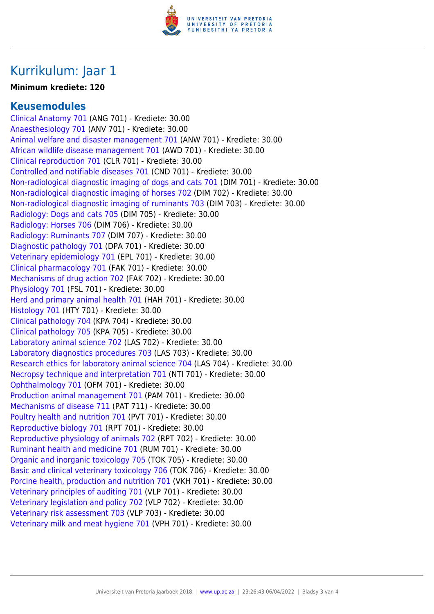

### Kurrikulum: Jaar 1

#### **Minimum krediete: 120**

#### **Keusemodules**

[Clinical Anatomy 701](https://www.up.ac.za/faculty-of-education/yearbooks/2018/modules/view/ANG 701/lg/af) (ANG 701) - Krediete: 30.00 [Anaesthesiology 701](https://www.up.ac.za/faculty-of-education/yearbooks/2018/modules/view/ANV 701/lg/af) (ANV 701) - Krediete: 30.00 [Animal welfare and disaster management 701](https://www.up.ac.za/faculty-of-education/yearbooks/2018/modules/view/ANW 701/lg/af) (ANW 701) - Krediete: 30.00 [African wildlife disease management 701](https://www.up.ac.za/faculty-of-education/yearbooks/2018/modules/view/AWD 701/lg/af) (AWD 701) - Krediete: 30.00 [Clinical reproduction 701](https://www.up.ac.za/faculty-of-education/yearbooks/2018/modules/view/CLR 701/lg/af) (CLR 701) - Krediete: 30.00 [Controlled and notifiable diseases 701](https://www.up.ac.za/faculty-of-education/yearbooks/2018/modules/view/CND 701/lg/af) (CND 701) - Krediete: 30.00 [Non-radiological diagnostic imaging of dogs and cats 701](https://www.up.ac.za/faculty-of-education/yearbooks/2018/modules/view/DIM 701/lg/af) (DIM 701) - Krediete: 30.00 [Non-radiological diagnostic imaging of horses 702](https://www.up.ac.za/faculty-of-education/yearbooks/2018/modules/view/DIM 702/lg/af) (DIM 702) - Krediete: 30.00 [Non-radiological diagnostic imaging of ruminants 703](https://www.up.ac.za/faculty-of-education/yearbooks/2018/modules/view/DIM 703/lg/af) (DIM 703) - Krediete: 30.00 [Radiology: Dogs and cats 705](https://www.up.ac.za/faculty-of-education/yearbooks/2018/modules/view/DIM 705/lg/af) (DIM 705) - Krediete: 30.00 [Radiology: Horses 706](https://www.up.ac.za/faculty-of-education/yearbooks/2018/modules/view/DIM 706/lg/af) (DIM 706) - Krediete: 30.00 [Radiology: Ruminants 707](https://www.up.ac.za/faculty-of-education/yearbooks/2018/modules/view/DIM 707/lg/af) (DIM 707) - Krediete: 30.00 [Diagnostic pathology 701](https://www.up.ac.za/faculty-of-education/yearbooks/2018/modules/view/DPA 701/lg/af) (DPA 701) - Krediete: 30.00 [Veterinary epidemiology 701](https://www.up.ac.za/faculty-of-education/yearbooks/2018/modules/view/EPL 701/lg/af) (EPL 701) - Krediete: 30.00 [Clinical pharmacology 701](https://www.up.ac.za/faculty-of-education/yearbooks/2018/modules/view/FAK 701/lg/af) (FAK 701) - Krediete: 30.00 [Mechanisms of drug action 702](https://www.up.ac.za/faculty-of-education/yearbooks/2018/modules/view/FAK 702/lg/af) (FAK 702) - Krediete: 30.00 [Physiology 701](https://www.up.ac.za/faculty-of-education/yearbooks/2018/modules/view/FSL 701/lg/af) (FSL 701) - Krediete: 30.00 [Herd and primary animal health 701](https://www.up.ac.za/faculty-of-education/yearbooks/2018/modules/view/HAH 701/lg/af) (HAH 701) - Krediete: 30.00 [Histology 701](https://www.up.ac.za/faculty-of-education/yearbooks/2018/modules/view/HTY 701/lg/af) (HTY 701) - Krediete: 30.00 [Clinical pathology 704](https://www.up.ac.za/faculty-of-education/yearbooks/2018/modules/view/KPA 704/lg/af) (KPA 704) - Krediete: 30.00 [Clinical pathology 705](https://www.up.ac.za/faculty-of-education/yearbooks/2018/modules/view/KPA 705/lg/af) (KPA 705) - Krediete: 30.00 [Laboratory animal science 702](https://www.up.ac.za/faculty-of-education/yearbooks/2018/modules/view/LAS 702/lg/af) (LAS 702) - Krediete: 30.00 [Laboratory diagnostics procedures 703](https://www.up.ac.za/faculty-of-education/yearbooks/2018/modules/view/LAS 703/lg/af) (LAS 703) - Krediete: 30.00 [Research ethics for laboratory animal science 704](https://www.up.ac.za/faculty-of-education/yearbooks/2018/modules/view/LAS 704/lg/af) (LAS 704) - Krediete: 30.00 [Necropsy technique and interpretation 701](https://www.up.ac.za/faculty-of-education/yearbooks/2018/modules/view/NTI 701/lg/af) (NTI 701) - Krediete: 30.00 [Ophthalmology 701](https://www.up.ac.za/faculty-of-education/yearbooks/2018/modules/view/OFM 701/lg/af) (OFM 701) - Krediete: 30.00 [Production animal management 701](https://www.up.ac.za/faculty-of-education/yearbooks/2018/modules/view/PAM 701/lg/af) (PAM 701) - Krediete: 30.00 [Mechanisms of disease 711](https://www.up.ac.za/faculty-of-education/yearbooks/2018/modules/view/PAT 711/lg/af) (PAT 711) - Krediete: 30.00 [Poultry health and nutrition 701](https://www.up.ac.za/faculty-of-education/yearbooks/2018/modules/view/PVT 701/lg/af) (PVT 701) - Krediete: 30.00 [Reproductive biology 701](https://www.up.ac.za/faculty-of-education/yearbooks/2018/modules/view/RPT 701/lg/af) (RPT 701) - Krediete: 30.00 [Reproductive physiology of animals 702](https://www.up.ac.za/faculty-of-education/yearbooks/2018/modules/view/RPT 702/lg/af) (RPT 702) - Krediete: 30.00 [Ruminant health and medicine 701](https://www.up.ac.za/faculty-of-education/yearbooks/2018/modules/view/RUM 701/lg/af) (RUM 701) - Krediete: 30.00 [Organic and inorganic toxicology 705](https://www.up.ac.za/faculty-of-education/yearbooks/2018/modules/view/TOK 705/lg/af) (TOK 705) - Krediete: 30.00 [Basic and clinical veterinary toxicology 706](https://www.up.ac.za/faculty-of-education/yearbooks/2018/modules/view/TOK 706/lg/af) (TOK 706) - Krediete: 30.00 [Porcine health, production and nutrition 701](https://www.up.ac.za/faculty-of-education/yearbooks/2018/modules/view/VKH 701/lg/af) (VKH 701) - Krediete: 30.00 [Veterinary principles of auditing 701](https://www.up.ac.za/faculty-of-education/yearbooks/2018/modules/view/VLP 701/lg/af) (VLP 701) - Krediete: 30.00 [Veterinary legislation and policy 702](https://www.up.ac.za/faculty-of-education/yearbooks/2018/modules/view/VLP 702/lg/af) (VLP 702) - Krediete: 30.00 [Veterinary risk assessment 703](https://www.up.ac.za/faculty-of-education/yearbooks/2018/modules/view/VLP 703/lg/af) (VLP 703) - Krediete: 30.00 [Veterinary milk and meat hygiene 701](https://www.up.ac.za/faculty-of-education/yearbooks/2018/modules/view/VPH 701/lg/af) (VPH 701) - Krediete: 30.00